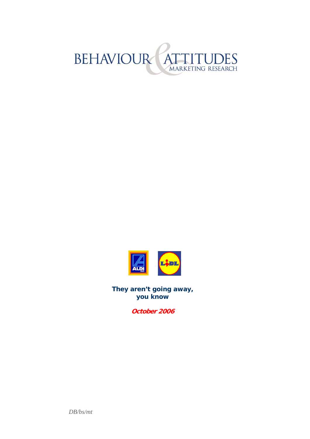



**They aren't going away, you know** 

**October 2006** 

*DB/bs/mt*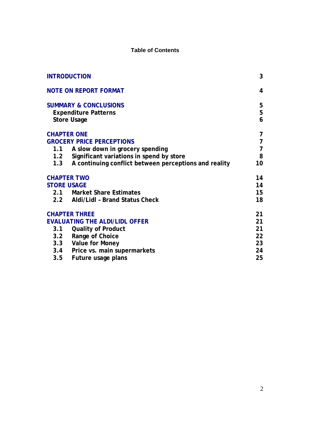#### **Table of Contents**

|                    | <b>INTRODUCTION</b>                                                                   | 3               |
|--------------------|---------------------------------------------------------------------------------------|-----------------|
|                    | <b>NOTE ON REPORT FORMAT</b>                                                          | 4               |
|                    | <b>SUMMARY &amp; CONCLUSIONS</b><br><b>Expenditure Patterns</b><br><b>Store Usage</b> | 5<br>5<br>6     |
| <b>CHAPTER ONE</b> |                                                                                       | 7               |
|                    | <b>GROCERY PRICE PERCEPTIONS</b>                                                      | $\overline{7}$  |
| 1.1                | A slow down in grocery spending                                                       | $\overline{7}$  |
|                    | 1.2 Significant variations in spend by store                                          | 8               |
| 1.3                | A continuing conflict between perceptions and reality                                 | 10              |
| <b>CHAPTER TWO</b> |                                                                                       | 14              |
| <b>STORE USAGE</b> |                                                                                       | 14              |
|                    | 2.1 Market Share Estimates                                                            | 15 <sub>1</sub> |
|                    | 2.2 Aldi/Lidl - Brand Status Check                                                    | 18              |
|                    | <b>CHAPTER THREE</b>                                                                  | 21              |
|                    | <b>EVALUATING THE ALDI/LIDL OFFER</b>                                                 | 21              |
| 3.1                | <b>Quality of Product</b>                                                             | 21              |
|                    | 3.2 Range of Choice                                                                   | 22              |
|                    | 3.3 Value for Money                                                                   | 23              |
|                    | 3.4 Price vs. main supermarkets                                                       | 24              |
| 3.5                | Future usage plans                                                                    | 25              |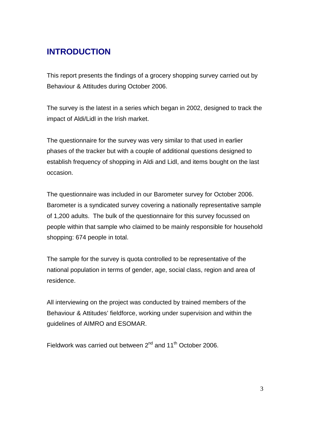# <span id="page-2-0"></span>**INTRODUCTION**

This report presents the findings of a grocery shopping survey carried out by Behaviour & Attitudes during October 2006.

The survey is the latest in a series which began in 2002, designed to track the impact of Aldi/Lidl in the Irish market.

The questionnaire for the survey was very similar to that used in earlier phases of the tracker but with a couple of additional questions designed to establish frequency of shopping in Aldi and Lidl, and items bought on the last occasion.

The questionnaire was included in our Barometer survey for October 2006. Barometer is a syndicated survey covering a nationally representative sample of 1,200 adults. The bulk of the questionnaire for this survey focussed on people within that sample who claimed to be mainly responsible for household shopping: 674 people in total.

The sample for the survey is quota controlled to be representative of the national population in terms of gender, age, social class, region and area of residence.

All interviewing on the project was conducted by trained members of the Behaviour & Attitudes' fieldforce, working under supervision and within the guidelines of AIMRO and ESOMAR.

Fieldwork was carried out between 2<sup>nd</sup> and 11<sup>th</sup> October 2006.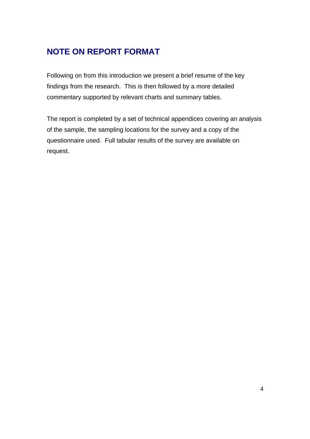# <span id="page-3-0"></span>**NOTE ON REPORT FORMAT**

Following on from this introduction we present a brief resume of the key findings from the research. This is then followed by a more detailed commentary supported by relevant charts and summary tables.

The report is completed by a set of technical appendices covering an analysis of the sample, the sampling locations for the survey and a copy of the questionnaire used. Full tabular results of the survey are available on request.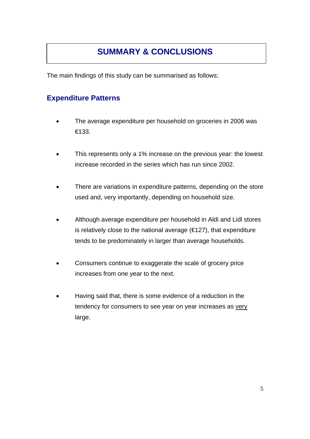# **SUMMARY & CONCLUSIONS**

<span id="page-4-0"></span>The main findings of this study can be summarised as follows:

### **Expenditure Patterns**

- The average expenditure per household on groceries in 2006 was €133.
- This represents only a 1% increase on the previous year: the lowest increase recorded in the series which has run since 2002.
- There are variations in expenditure patterns, depending on the store used and, very importantly, depending on household size.
- Although average expenditure per household in Aldi and Lidl stores is relatively close to the national average  $(\epsilon 127)$ , that expenditure tends to be predominately in larger than average households.
- Consumers continue to exaggerate the scale of grocery price increases from one year to the next.
- Having said that, there is some evidence of a reduction in the tendency for consumers to see year on year increases as very large.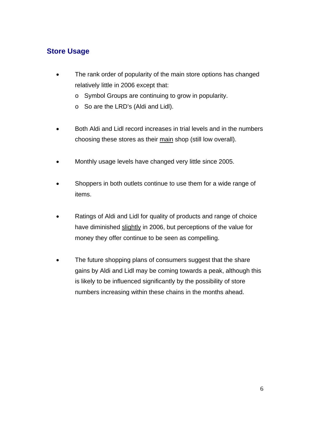### <span id="page-5-0"></span>**Store Usage**

- The rank order of popularity of the main store options has changed relatively little in 2006 except that:
	- o Symbol Groups are continuing to grow in popularity.
	- o So are the LRD's (Aldi and Lidl).
- Both Aldi and Lidl record increases in trial levels and in the numbers choosing these stores as their main shop (still low overall).
- Monthly usage levels have changed very little since 2005.
- Shoppers in both outlets continue to use them for a wide range of items.
- Ratings of Aldi and Lidl for quality of products and range of choice have diminished slightly in 2006, but perceptions of the value for money they offer continue to be seen as compelling.
- The future shopping plans of consumers suggest that the share gains by Aldi and Lidl may be coming towards a peak, although this is likely to be influenced significantly by the possibility of store numbers increasing within these chains in the months ahead.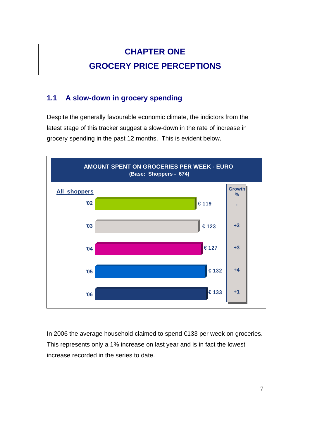# **CHAPTER ONE**

# **GROCERY PRICE PERCEPTIONS**

## <span id="page-6-0"></span>**1.1 A slow-down in grocery spending**

Despite the generally favourable economic climate, the indictors from the latest stage of this tracker suggest a slow-down in the rate of increase in grocery spending in the past 12 months. This is evident below.



In 2006 the average household claimed to spend €133 per week on groceries. This represents only a 1% increase on last year and is in fact the lowest increase recorded in the series to date.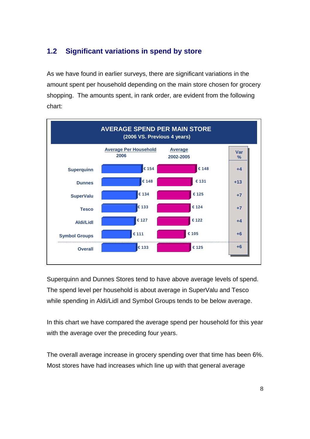## <span id="page-7-0"></span>**1.2 Significant variations in spend by store**

As we have found in earlier surveys, there are significant variations in the amount spent per household depending on the main store chosen for grocery shopping. The amounts spent, in rank order, are evident from the following chart:



Superquinn and Dunnes Stores tend to have above average levels of spend. The spend level per household is about average in SuperValu and Tesco while spending in Aldi/Lidl and Symbol Groups tends to be below average.

In this chart we have compared the average spend per household for this year with the average over the preceding four years.

The overall average increase in grocery spending over that time has been 6%. Most stores have had increases which line up with that general average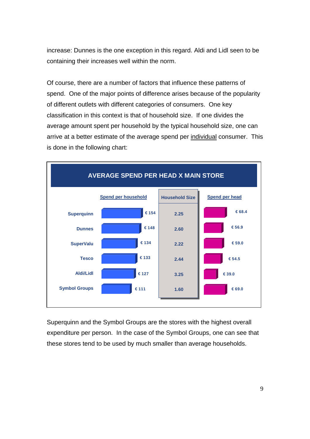increase: Dunnes is the one exception in this regard. Aldi and Lidl seen to be containing their increases well within the norm.

Of course, there are a number of factors that influence these patterns of spend. One of the major points of difference arises because of the popularity of different outlets with different categories of consumers. One key classification in this context is that of household size. If one divides the average amount spent per household by the typical household size, one can arrive at a better estimate of the average spend per individual consumer. This is done in the following chart:



Superquinn and the Symbol Groups are the stores with the highest overall expenditure per person. In the case of the Symbol Groups, one can see that these stores tend to be used by much smaller than average households.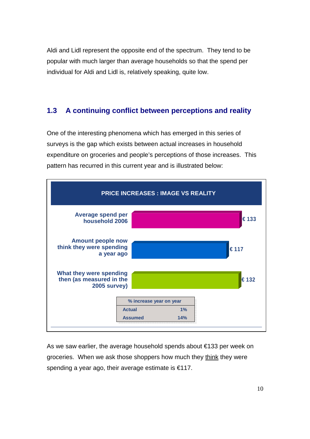<span id="page-9-0"></span>Aldi and Lidl represent the opposite end of the spectrum. They tend to be popular with much larger than average households so that the spend per individual for Aldi and Lidl is, relatively speaking, quite low.

#### **1.3 A continuing conflict between perceptions and reality**

One of the interesting phenomena which has emerged in this series of surveys is the gap which exists between actual increases in household expenditure on groceries and people's perceptions of those increases. This pattern has recurred in this current year and is illustrated below:



As we saw earlier, the average household spends about €133 per week on groceries. When we ask those shoppers how much they think they were spending a year ago, their average estimate is €117.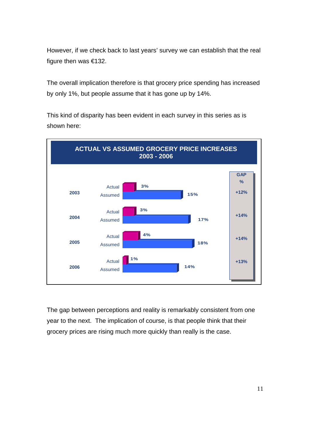However, if we check back to last years' survey we can establish that the real figure then was €132.

The overall implication therefore is that grocery price spending has increased by only 1%, but people assume that it has gone up by 14%.

This kind of disparity has been evident in each survey in this series as is shown here:



The gap between perceptions and reality is remarkably consistent from one year to the next. The implication of course, is that people think that their grocery prices are rising much more quickly than really is the case.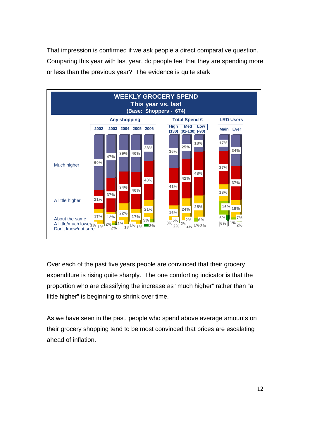That impression is confirmed if we ask people a direct comparative question. Comparing this year with last year, do people feel that they are spending more or less than the previous year? The evidence is quite stark



Over each of the past five years people are convinced that their grocery expenditure is rising quite sharply. The one comforting indicator is that the proportion who are classifying the increase as "much higher" rather than "a little higher" is beginning to shrink over time.

As we have seen in the past, people who spend above average amounts on their grocery shopping tend to be most convinced that prices are escalating ahead of inflation.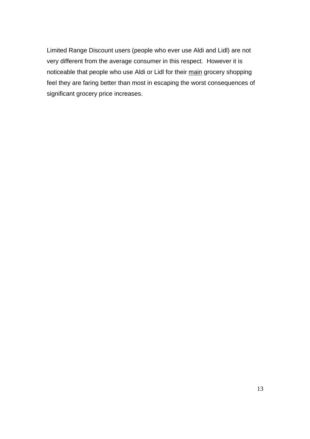Limited Range Discount users (people who ever use Aldi and Lidl) are not very different from the average consumer in this respect. However it is noticeable that people who use Aldi or Lidl for their main grocery shopping feel they are faring better than most in escaping the worst consequences of significant grocery price increases.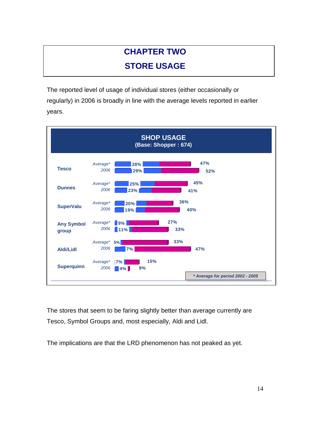# **CHAPTER TWO STORE USAGE**

<span id="page-13-0"></span>The reported level of usage of individual stores (either occasionally or regularly) in 2006 is broadly in line with the average levels reported in earlier years.



The stores that seem to be faring slightly better than average currently are Tesco, Symbol Groups and, most especially, Aldi and Lidl.

The implications are that the LRD phenomenon has not peaked as yet.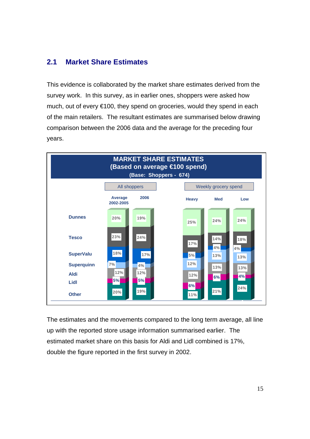### <span id="page-14-0"></span>**2.1 Market Share Estimates**

This evidence is collaborated by the market share estimates derived from the survey work. In this survey, as in earlier ones, shoppers were asked how much, out of every €100, they spend on groceries, would they spend in each of the main retailers. The resultant estimates are summarised below drawing comparison between the 2006 data and the average for the preceding four years.



The estimates and the movements compared to the long term average, all line up with the reported store usage information summarised earlier. The estimated market share on this basis for Aldi and Lidl combined is 17%, double the figure reported in the first survey in 2002.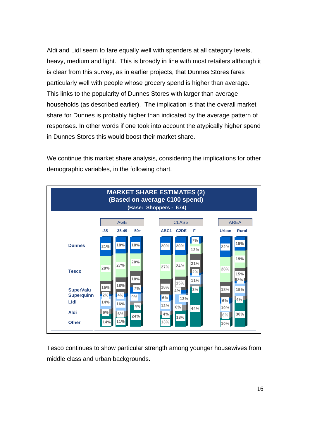Aldi and Lidl seem to fare equally well with spenders at all category levels, heavy, medium and light. This is broadly in line with most retailers although it is clear from this survey, as in earlier projects, that Dunnes Stores fares particularly well with people whose grocery spend is higher than average. This links to the popularity of Dunnes Stores with larger than average households (as described earlier). The implication is that the overall market share for Dunnes is probably higher than indicated by the average pattern of responses. In other words if one took into account the atypically higher spend in Dunnes Stores this would boost their market share.

We continue this market share analysis, considering the implications for other demographic variables, in the following chart.



Tesco continues to show particular strength among younger housewives from middle class and urban backgrounds.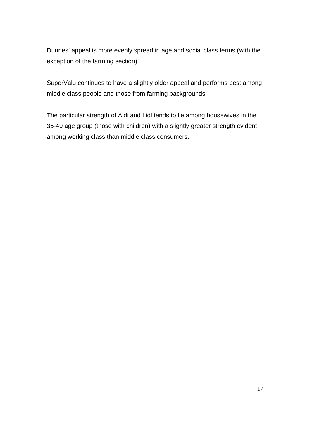Dunnes' appeal is more evenly spread in age and social class terms (with the exception of the farming section).

SuperValu continues to have a slightly older appeal and performs best among middle class people and those from farming backgrounds.

The particular strength of Aldi and Lidl tends to lie among housewives in the 35-49 age group (those with children) with a slightly greater strength evident among working class than middle class consumers.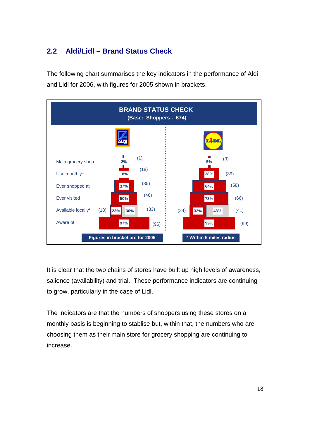# <span id="page-17-0"></span>**2.2 Aldi/Lidl – Brand Status Check**

The following chart summarises the key indicators in the performance of Aldi and Lidl for 2006, with figures for 2005 shown in brackets.



It is clear that the two chains of stores have built up high levels of awareness, salience (availability) and trial. These performance indicators are continuing to grow, particularly in the case of Lidl.

The indicators are that the numbers of shoppers using these stores on a monthly basis is beginning to stablise but, within that, the numbers who are choosing them as their main store for grocery shopping are continuing to increase.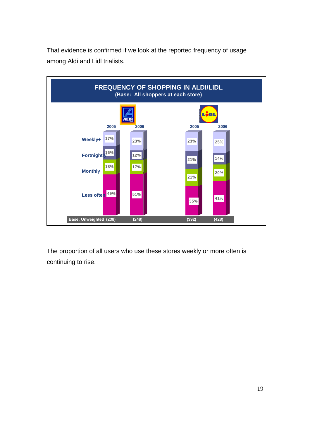That evidence is confirmed if we look at the reported frequency of usage among Aldi and Lidl trialists.



The proportion of all users who use these stores weekly or more often is continuing to rise.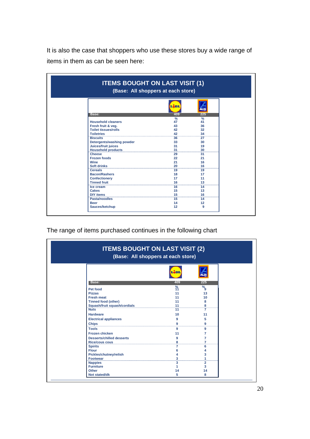It is also the case that shoppers who use these stores buy a wide range of items in them as can be seen here:

| <b>ITEMS BOUGHT ON LAST VISIT (1)</b><br>(Base: All shoppers at each store) |                  |                           |  |  |
|-----------------------------------------------------------------------------|------------------|---------------------------|--|--|
|                                                                             | $\sqrt{2}$       | LDI                       |  |  |
| Base:                                                                       | 409              | 225                       |  |  |
| <b>Household cleaners</b><br>Fresh fruit & veg.                             | $\%$<br>47<br>43 | $\frac{9}{6}$<br>41<br>36 |  |  |
| <b>Toilet tissues/rolls</b>                                                 | 42               | 32                        |  |  |
| <b>Toiletries</b>                                                           | 42               | 34                        |  |  |
| <b>Biscuits</b>                                                             | 36               | 27                        |  |  |
| Detergents/washing powder                                                   | 33               | 30                        |  |  |
| Juices/fruit juices                                                         | 31               | 19                        |  |  |
| <b>Household products</b>                                                   | 31               | 30                        |  |  |
| <b>Cheese</b>                                                               | 29               | 31                        |  |  |
| <b>Frozen foods</b>                                                         | 22               | 21                        |  |  |
| Wine                                                                        | 21               | 16                        |  |  |
| <b>Soft drinks</b>                                                          | 20               | 16                        |  |  |
| <b>Cereals</b>                                                              | 19               | 19                        |  |  |
| <b>Bacon/Rashers</b>                                                        | 18               | 17                        |  |  |
| <b>Confectionery</b>                                                        | 17               | 11                        |  |  |
| <b>Tinned fruit</b>                                                         | 16               | 13                        |  |  |
| Ice cream                                                                   | 16               | 14                        |  |  |
| Cakes                                                                       | 15               | 13                        |  |  |
| <b>DIY items</b>                                                            | 15               | 16                        |  |  |
| Pasta/noodles                                                               | 15               | 14                        |  |  |
| <b>Beer</b>                                                                 | 14               | 12                        |  |  |
| Sauces/ketchup                                                              | 12               | 9                         |  |  |

The range of items purchased continues in the following chart

| <b>ITEMS BOUGHT ON LAST VISIT (2)</b><br>(Base: All shoppers at each store) |     |                 |  |  |
|-----------------------------------------------------------------------------|-----|-----------------|--|--|
|                                                                             | 500 |                 |  |  |
| Base:                                                                       | 409 | 225             |  |  |
| Pet food                                                                    | 谷   | $\overline{\%}$ |  |  |
| <b>Pizzas</b>                                                               | 11  | 13              |  |  |
| <b>Fresh meat</b>                                                           | 11  | 10              |  |  |
| <b>Tinned food (other)</b>                                                  | 11  | 8               |  |  |
| Squash/fruit squash/cordials                                                | 11  | 8<br>           |  |  |
| <b>Nuts</b>                                                                 | 11  | 7               |  |  |
| <b>Hardware</b>                                                             | 10  | 11              |  |  |
| <b>Electrical appliances</b>                                                | 9   | 5               |  |  |
| <b>Chips</b>                                                                | 9   | 9               |  |  |
| <b>Tools</b>                                                                | 9   | 9               |  |  |
| <b>Frozen chicken</b>                                                       | 11  | 7               |  |  |
| <b>Desserts/chilled desserts</b>                                            | 9   | 7               |  |  |
| <b>Rice/cous cous</b>                                                       | 8   | 7               |  |  |
| <b>Spirits</b>                                                              |     | 6               |  |  |
| <b>Flour</b>                                                                | 6   |                 |  |  |
| <b>Pickles/chutney/relish</b>                                               |     | 3               |  |  |
| <b>Footwear</b>                                                             | 3   |                 |  |  |
| <b>Nappies</b>                                                              | 3   | $\overline{2}$  |  |  |
| <b>Furniture</b>                                                            |     | 3               |  |  |
| Other                                                                       | 14  | 14              |  |  |
| <b>Not stated/dk</b>                                                        | 5   | 8               |  |  |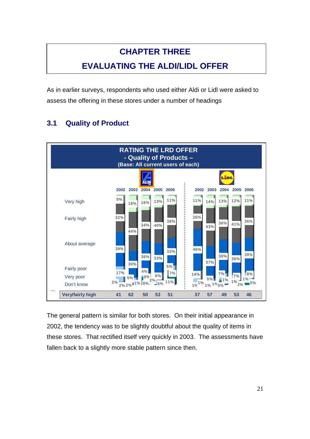# **CHAPTER THREE**

# **EVALUATING THE ALDI/LIDL OFFER**

<span id="page-20-0"></span>As in earlier surveys, respondents who used either Aldi or Lidl were asked to assess the offering in these stores under a number of headings

# **3.1 Quality of Product**



The general pattern is similar for both stores. On their initial appearance in 2002, the tendency was to be slightly doubtful about the quality of items in these stores. That rectified itself very quickly in 2003. The assessments have fallen back to a slightly more stable pattern since then.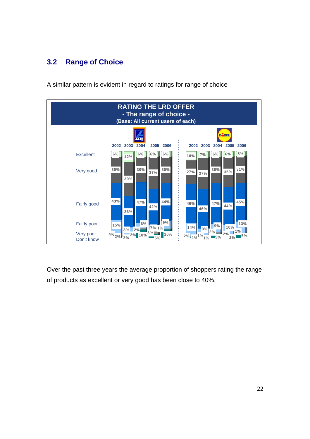# <span id="page-21-0"></span>**3.2 Range of Choice**

A similar pattern is evident in regard to ratings for range of choice



Over the past three years the average proportion of shoppers rating the range of products as excellent or very good has been close to 40%.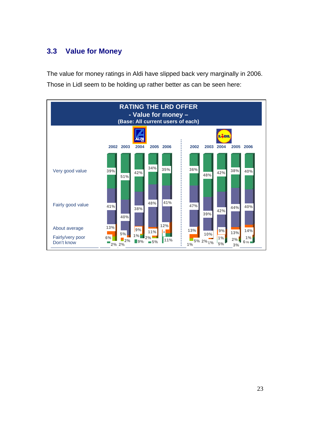## <span id="page-22-0"></span>**3.3 Value for Money**

The value for money ratings in Aldi have slipped back very marginally in 2006. Those in Lidl seem to be holding up rather better as can be seen here:

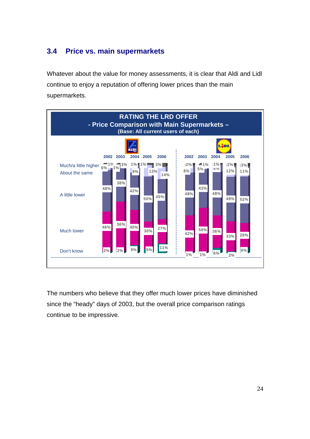## <span id="page-23-0"></span>**3.4 Price vs. main supermarkets**

Whatever about the value for money assessments, it is clear that Aldi and Lidl continue to enjoy a reputation of offering lower prices than the main supermarkets.



The numbers who believe that they offer much lower prices have diminished since the "heady" days of 2003, but the overall price comparison ratings continue to be impressive.